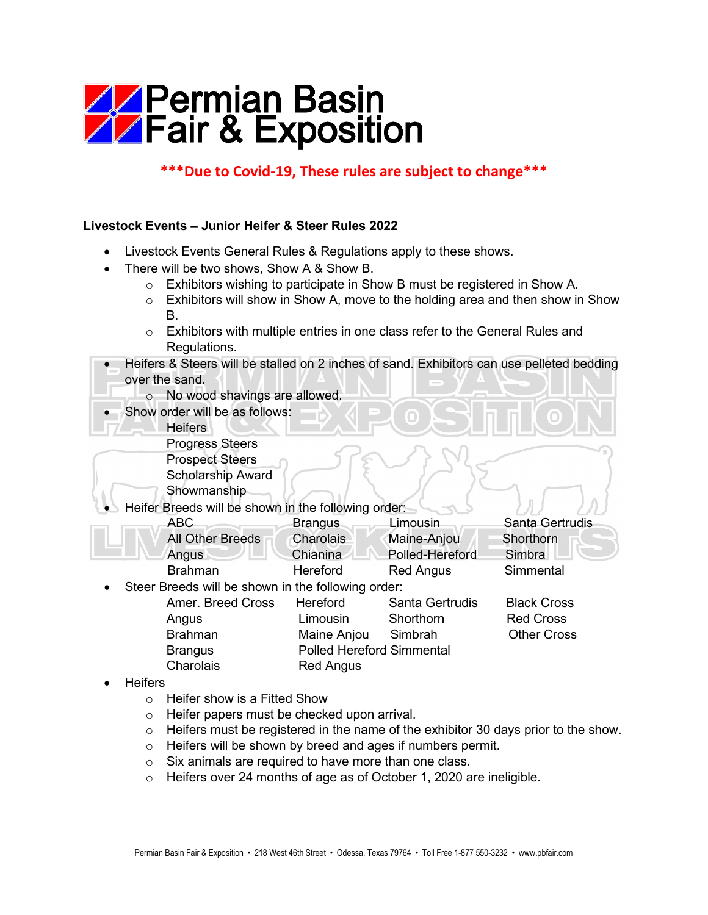## **AZ Permian Basin<br>AZ Fair & Exposition**

## **\*\*\*Due to Covid-19, These rules are subject to change\*\*\***

## **Livestock Events – Junior Heifer & Steer Rules 2022**

- Livestock Events General Rules & Regulations apply to these shows.
- There will be two shows, Show A & Show B.
	- o Exhibitors wishing to participate in Show B must be registered in Show A.
	- $\circ$  Exhibitors will show in Show A, move to the holding area and then show in Show B.
	- $\circ$  Exhibitors with multiple entries in one class refer to the General Rules and Regulations.
- Heifers & Steers will be stalled on 2 inches of sand. Exhibitors can use pelleted bedding over the sand.
	- o No wood shavings are allowed.
	- Show order will be as follows:
		- **Heifers** 
			- Progress Steers
			- Prospect Steers
		- Scholarship Award

Showmanship

Heifer Breeds will be shown in the following order:

| ABC.             | <b>Brangus</b>   | Limousin         | Santa Gertrudis |
|------------------|------------------|------------------|-----------------|
| All Other Breeds | <b>Charolais</b> | Maine-Anjou      | Shorthorn       |
| Angus            | Chianina         | Polled-Hereford  | Simbra          |
| <b>Brahman</b>   | Hereford         | <b>Red Angus</b> | Simmental       |

Steer Breeds will be shown in the following order:

| <b>PROGRAMM DO SHOWH IN GIO TOROWING ORDER</b> |                   |                                  |                        |                    |  |  |  |
|------------------------------------------------|-------------------|----------------------------------|------------------------|--------------------|--|--|--|
|                                                | Amer. Breed Cross | <b>Hereford</b>                  | <b>Santa Gertrudis</b> | <b>Black Cross</b> |  |  |  |
|                                                | Angus             | Limousin                         | Shorthorn              | <b>Red Cross</b>   |  |  |  |
|                                                | <b>Brahman</b>    | Maine Anjou                      | Simbrah                | <b>Other Cross</b> |  |  |  |
|                                                | <b>Brangus</b>    | <b>Polled Hereford Simmental</b> |                        |                    |  |  |  |
|                                                | Charolais         | <b>Red Angus</b>                 |                        |                    |  |  |  |
|                                                |                   |                                  |                        |                    |  |  |  |

- Heifers
	- o Heifer show is a Fitted Show
	- o Heifer papers must be checked upon arrival.
	- $\circ$  Heifers must be registered in the name of the exhibitor 30 days prior to the show.
	- $\circ$  Heifers will be shown by breed and ages if numbers permit.
	- $\circ$  Six animals are required to have more than one class.
	- o Heifers over 24 months of age as of October 1, 2020 are ineligible.